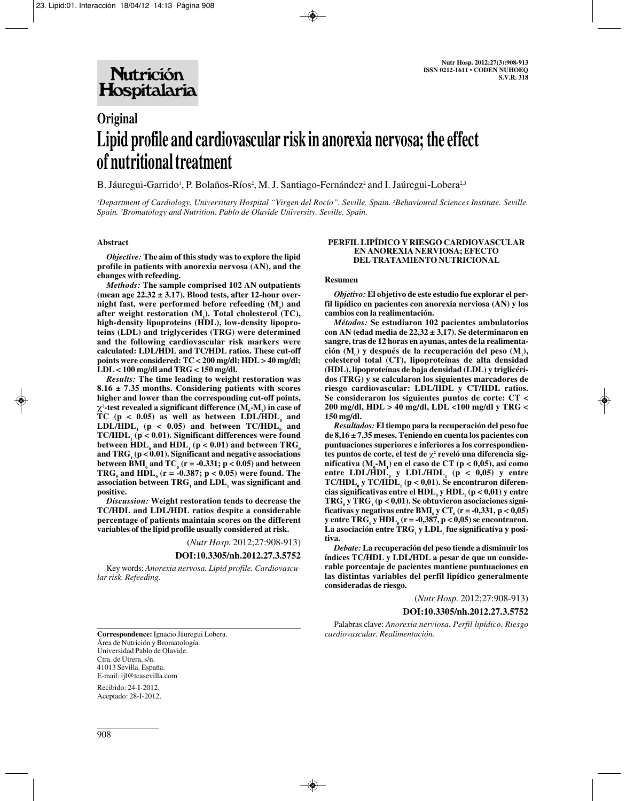# **Original Lipid profile and cardiovascular risk in anorexia nervosa; the effect of nutritional treatment**

B. Jáuregui-Garrido<sup>1</sup>, P. Bolaños-Ríos<sup>2</sup>, M. J. Santiago-Fernández<sup>2</sup> and I. Jaúregui-Lobera<sup>2,3</sup>

*1 Department of Cardiology. Universitary Hospital "Virgen del Rocío". Seville. Spain. 2 Behavioural Sciences Institute. Seville. Spain. 3 Bromatology and Nutrition. Pablo de Olavide University. Seville. Spain.*

## **Abstract**

*Objective:* **The aim of this study was to explore the lipid profile in patients with anorexia nervosa (AN), and the changes with refeeding.** 

*Methods:* **The sample comprised 102 AN outpatients (mean age 22.32 ± 3.17). Blood tests, after 12-hour over-** $\mathbf{m}_0$  fast, were performed before refeeding  $(\mathbf{M}_0)$  and after weight restoration (M<sub>1</sub>). Total cholesterol (TC), **high-density lipoproteins (HDL), low-density lipoproteins (LDL) and triglycerides (TRG) were determined and the following cardiovascular risk markers were calculated: LDL/HDL and TC/HDL ratios. These cut-off points were considered: TC < 200 mg/dl; HDL > 40 mg/dl; LDL < 100 mg/dl and TRG < 150 mg/dl.** 

*Results:* **The time leading to weight restoration was 8.16 ± 7.35 months. Considering patients with scores higher and lower than the corresponding cut-off points,**  $\chi$ <sup>2</sup>-test revealed a significant difference (M<sub>0</sub>-M<sub>1</sub>) in case of TC ( $p < 0.05$ ) as well as between LDL/HDL<sub> $o$ </sub> and  $LDL/HDL$ ,  $(p < 0.05)$  and between  $TC/HDL$ <sub>a</sub> and **TC/HDL1 (p < 0.01). Significant differences were found between HDL** and HDL  $(p < 0.01)$  and between TRG and  $TRG<sub>1</sub>$  ( $p < 0.01$ ). Significant and negative associations **between BMI<sub>0</sub> and TC<sub>0</sub> (r = -0.331; p < 0.05) and between TRG**<sub>a</sub> and  $HDL_0$  ( $r = -0.387$ ;  $p < 0.05$ ) were found. The association between TRG<sub>1</sub> and LDL<sub>1</sub> was significant and **positive.** 

*Discussion:* **Weight restoration tends to decrease the TC/HDL and LDL/HDL ratios despite a considerable percentage of patients maintain scores on the different variables of the lipid profile usually considered at risk.**

(*Nutr Hosp.* 2012;27:908-913)

### **DOI:10.3305/nh.2012.27.3.5752**

Key words: *Anorexia nervosa. Lipid profile. Cardiovascular risk. Refeeding.*

#### **PERFIL LIPÍDICO Y RIESGO CARDIOVASCULAR EN ANOREXIA NERVIOSA; EFECTO DEL TRATAMIENTO NUTRICIONAL**

#### **Resumen**

*Objetivo:* **El objetivo de este estudio fue explorar el perfil lipídico en pacientes con anorexia nerviosa (AN) y los cambios con la realimentación.** 

*Métodos:* **Se estudiaron 102 pacientes ambulatorios con AN (edad media de 22,32 ± 3,17). Se determinaron en sangre, tras de 12 horas en ayunas, antes de la realimentación** (M<sub>0</sub>) y después de la recuperación del peso (M<sub>1</sub>), **colesterol total (CT), lipoproteínas de alta densidad (HDL), lipoproteínas de baja densidad (LDL) y triglicéridos (TRG) y se calcularon los siguientes marcadores de riesgo cardiovascular: LDL/HDL y CT/HDL ratios. Se consideraron los siguientes puntos de corte: CT < 200 mg/dl, HDL > 40 mg/dl, LDL <100 mg/dl y TRG < 150 mg/dl.** 

*Resultados:* **El tiempo para la recuperación del peso fue de 8,16 ± 7,35 meses. Teniendo en cuenta los pacientes con puntuaciones superiores e inferiores a los correspondientes puntos de corte, el test de** χ**<sup>2</sup> reveló una diferencia significativa (M0 -M1 ) en el caso de CT (p < 0,05), así como** entre LDL/HDL<sub>0</sub> y LDL/HDL<sub>1</sub> ( $p < 0.05$ ) y entre TC/HDL<sub>0</sub> **y** TC/HDL<sub>1</sub> (p < 0,01). Se encontraron diferen**cias significativas entre el HDL**<sub>0</sub> **y HDL**<sub>1</sub> (**p** < 0,01) y entre **TRG**<sub>a</sub> **y TRG**<sub>1</sub> ( $p < 0.01$ ). Se obtuvieron asociaciones signi**ficativas y negativas entre BMI<sub>0</sub> y CT<sub>0</sub> (r = -0,331, p < 0,05) y** entre  $TRG_0$  **y**  $HDL_0$  (**r** = -0,387, **p** < 0,05) se encontraron. La asociación entre TRG<sub>1</sub> y LDL<sub>1</sub> fue significativa y posi**tiva.** 

*Debate:* **La recuperación del peso tiende a disminuir los índices TC/HDL y LDL/HDL a pesar de que un considerable porcentaje de pacientes mantiene puntuaciones en las distintas variables del perfil lipídico generalmente consideradas de riesgo.** 

(*Nutr Hosp.* 2012;27:908-913)

### **DOI:10.3305/nh.2012.27.3.5752**

Palabras clave: *Anorexia nerviosa. Perfil lipídico. Riesgo cardiovascular. Realimentación.*

**Correspondence:** Ignacio Jáuregui Lobera. Área de Nutrición y Bromatología. Universidad Pablo de Olavide. Ctra. de Utrera, s/n. 41013 Sevilla. España. E-mail: ijl@tcasevilla.com

Recibido: 24-I-2012. Aceptado: 28-I-2012.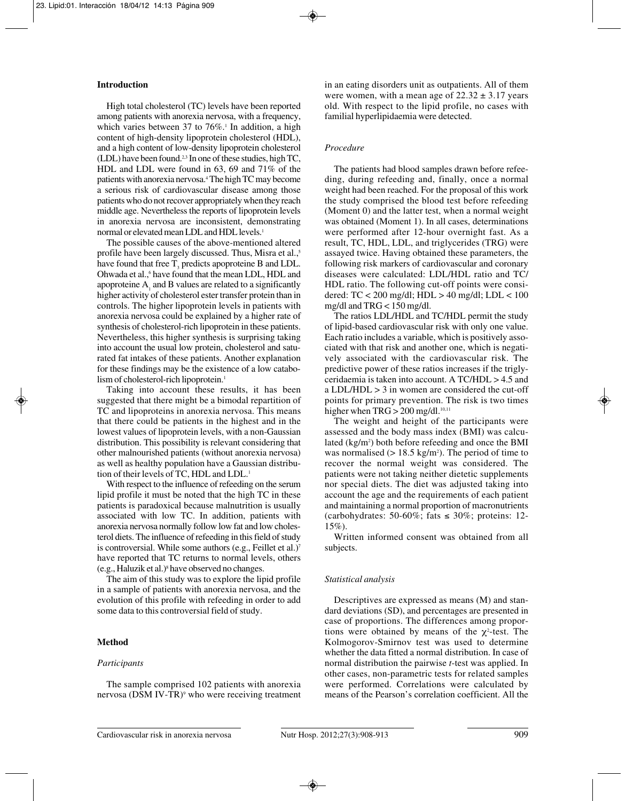# **Introduction**

High total cholesterol (TC) levels have been reported among patients with anorexia nervosa, with a frequency, which varies between 37 to  $76\%$ .<sup>1</sup> In addition, a high content of high-density lipoprotein cholesterol (HDL), and a high content of low-density lipoprotein cholesterol (LDL) have been found.2,3 In one of these studies, high TC, HDL and LDL were found in 63, 69 and 71% of the patients with anorexia nervosa.4 The high TC may become a serious risk of cardiovascular disease among those patients who do not recover appropriately when they reach middle age. Nevertheless the reports of lipoprotein levels in anorexia nervosa are inconsistent, demonstrating normal or elevated mean LDL and HDL levels.1

The possible causes of the above-mentioned altered profile have been largely discussed. Thus, Misra et al.,<sup>5</sup> have found that free T, predicts apoproteine B and LDL. Ohwada et al.,6 have found that the mean LDL, HDL and apoproteine A, and B values are related to a significantly higher activity of cholesterol ester transfer protein than in controls. The higher lipoprotein levels in patients with anorexia nervosa could be explained by a higher rate of synthesis of cholesterol-rich lipoprotein in these patients. Nevertheless, this higher synthesis is surprising taking into account the usual low protein, cholesterol and saturated fat intakes of these patients. Another explanation for these findings may be the existence of a low catabolism of cholesterol-rich lipoprotein.<sup>1</sup>

Taking into account these results, it has been suggested that there might be a bimodal repartition of TC and lipoproteins in anorexia nervosa. This means that there could be patients in the highest and in the lowest values of lipoprotein levels, with a non-Gaussian distribution. This possibility is relevant considering that other malnourished patients (without anorexia nervosa) as well as healthy population have a Gaussian distribution of their levels of TC, HDL and LDL.<sup>1</sup>

With respect to the influence of refeeding on the serum lipid profile it must be noted that the high TC in these patients is paradoxical because malnutrition is usually associated with low TC. In addition, patients with anorexia nervosa normally follow low fat and low cholesterol diets. The influence of refeeding in this field of study is controversial. While some authors (e.g., Feillet et al.)<sup>7</sup> have reported that TC returns to normal levels, others  $(e.g., Haluzik et al.)<sup>8</sup> have observed no changes.$ 

The aim of this study was to explore the lipid profile in a sample of patients with anorexia nervosa, and the evolution of this profile with refeeding in order to add some data to this controversial field of study.

## **Method**

## *Participants*

The sample comprised 102 patients with anorexia nervosa (DSM IV-TR)<sup>9</sup> who were receiving treatment in an eating disorders unit as outpatients. All of them were women, with a mean age of  $22.32 \pm 3.17$  years old. With respect to the lipid profile, no cases with familial hyperlipidaemia were detected.

## *Procedure*

The patients had blood samples drawn before refeeding, during refeeding and, finally, once a normal weight had been reached. For the proposal of this work the study comprised the blood test before refeeding (Moment 0) and the latter test, when a normal weight was obtained (Moment 1). In all cases, determinations were performed after 12-hour overnight fast. As a result, TC, HDL, LDL, and triglycerides (TRG) were assayed twice. Having obtained these parameters, the following risk markers of cardiovascular and coronary diseases were calculated: LDL/HDL ratio and TC/ HDL ratio. The following cut-off points were considered: TC < 200 mg/dl; HDL > 40 mg/dl; LDL < 100 mg/dl and TRG < 150 mg/dl.

The ratios LDL/HDL and TC/HDL permit the study of lipid-based cardiovascular risk with only one value. Each ratio includes a variable, which is positively associated with that risk and another one, which is negatively associated with the cardiovascular risk. The predictive power of these ratios increases if the triglyceridaemia is taken into account. A TC/HDL > 4.5 and a LDL/HDL > 3 in women are considered the cut-off points for primary prevention. The risk is two times higher when  $TRG > 200$  mg/dl.<sup>10,11</sup>

The weight and height of the participants were assessed and the body mass index (BMI) was calculated (kg/m<sup>2</sup>) both before refeeding and once the BMI was normalised  $(> 18.5 \text{ kg/m}^2)$ . The period of time to recover the normal weight was considered. The patients were not taking neither dietetic supplements nor special diets. The diet was adjusted taking into account the age and the requirements of each patient and maintaining a normal proportion of macronutrients (carbohydrates: 50-60%; fats  $\leq$  30%; proteins: 12- $15\%)$ .

Written informed consent was obtained from all subjects.

### *Statistical analysis*

Descriptives are expressed as means (M) and standard deviations (SD), and percentages are presented in case of proportions. The differences among proportions were obtained by means of the  $\chi^2$ -test. The Kolmogorov-Smirnov test was used to determine whether the data fitted a normal distribution. In case of normal distribution the pairwise *t*-test was applied. In other cases, non-parametric tests for related samples were performed. Correlations were calculated by means of the Pearson's correlation coefficient. All the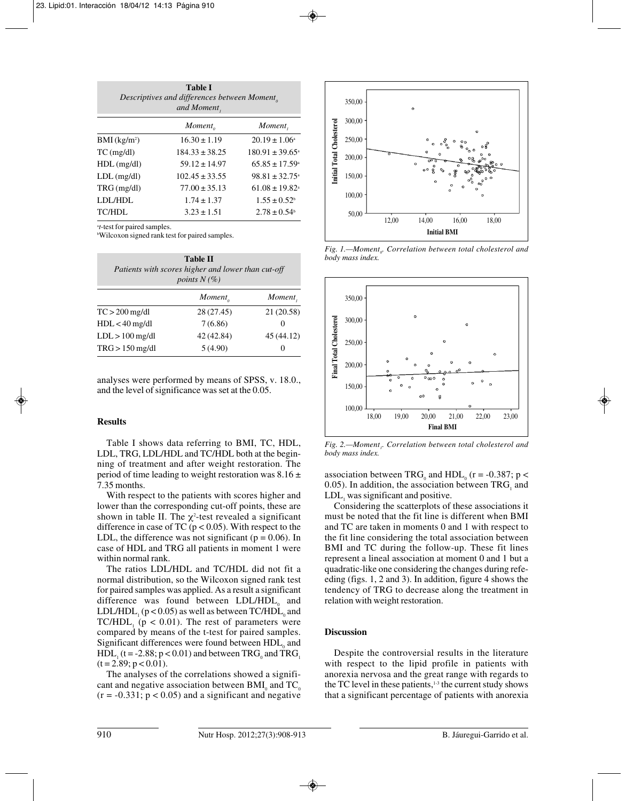| <b>Table I</b><br>Descriptives and differences between Moment <sub>o</sub><br>and Moment, |                     |                                |  |
|-------------------------------------------------------------------------------------------|---------------------|--------------------------------|--|
|                                                                                           | Moment <sub>o</sub> | Moment,                        |  |
| $BMI$ (kg/m <sup>2</sup> )                                                                | $16.30 \pm 1.19$    | $20.19 \pm 1.06^{\circ}$       |  |
| $TC$ (mg/dl)                                                                              | $184.33 \pm 38.25$  | $180.91 \pm 39.65^{\circ}$     |  |
| $HDL$ (mg/dl)                                                                             | $59.12 \pm 14.97$   | $65.85 \pm 17.59$ <sup>a</sup> |  |
| $LDL$ (mg/dl)                                                                             | $102.45 \pm 33.55$  | $98.81 \pm 32.75$ <sup>a</sup> |  |
| $TRG$ (mg/dl)                                                                             | $77.00 \pm 35.13$   | $61.08 \pm 19.82$ <sup>a</sup> |  |
| LDL/HDL                                                                                   | $1.74 \pm 1.37$     | $1.55 \pm 0.52$ <sup>b</sup>   |  |
| TC/HDL                                                                                    | $3.23 \pm 1.51$     | $2.78 \pm 0.54$                |  |
|                                                                                           |                     |                                |  |

a *t*-test for paired samples.

b Wilcoxon signed rank test for paired samples.

| <b>Table II</b><br>Patients with scores higher and lower than cut-off<br><i>points</i> $N(\%)$ |                     |            |  |
|------------------------------------------------------------------------------------------------|---------------------|------------|--|
|                                                                                                | Moment <sub>o</sub> | Moment,    |  |
| $TC > 200$ mg/dl                                                                               | 28 (27.45)          | 21 (20.58) |  |
| $HDL < 40$ mg/dl                                                                               | 7(6.86)             | $\theta$   |  |
| $LDL > 100$ mg/dl                                                                              | 42 (42.84)          | 45 (44.12) |  |
| $TRG > 150$ mg/dl                                                                              | 5(4.90)             | 0          |  |

analyses were performed by means of SPSS, v. 18.0., and the level of significance was set at the 0.05.

## **Results**

Table I shows data referring to BMI, TC, HDL, LDL, TRG, LDL/HDL and TC/HDL both at the beginning of treatment and after weight restoration. The period of time leading to weight restoration was  $8.16 \pm$ 7.35 months.

With respect to the patients with scores higher and lower than the corresponding cut-off points, these are shown in table II. The  $\chi^2$ -test revealed a significant difference in case of TC ( $p < 0.05$ ). With respect to the LDL, the difference was not significant ( $p = 0.06$ ). In case of HDL and TRG all patients in moment 1 were within normal rank.

The ratios LDL/HDL and TC/HDL did not fit a normal distribution, so the Wilcoxon signed rank test for paired samples was applied. As a result a significant difference was found between LDL/HDL, and LDL/HDL $( p < 0.05)$  as well as between TC/HDL $_{o}$  and TC/HDL<sub>1</sub> ( $p < 0.01$ ). The rest of parameters were compared by means of the t-test for paired samples. Significant differences were found between  $HDL<sub>0</sub>$  and  $HDL_1$  (t = -2.88; p < 0.01) and between TRG<sub>0</sub> and TRG<sub>1</sub>  $(t = 2.89; p < 0.01)$ .

The analyses of the correlations showed a significant and negative association between  $BMI_0$  and  $TC_0$  $(r = -0.331; p < 0.05)$  and a significant and negative



*Fig. 1.—Moment<sub>0</sub>. Correlation between total cholesterol and body mass index.*



*Fig. 2.—Moment<sub>1</sub>. Correlation between total cholesterol and body mass index.*

association between TRG<sub>0</sub> and HDL<sub>0</sub> (r = -0.387; p < 0.05). In addition, the association between  $TRG<sub>i</sub>$  and LDL, was significant and positive.

Considering the scatterplots of these associations it must be noted that the fit line is different when BMI and TC are taken in moments 0 and 1 with respect to the fit line considering the total association between BMI and TC during the follow-up. These fit lines represent a lineal association at moment 0 and 1 but a quadratic-like one considering the changes during refeeding (figs. 1, 2 and 3). In addition, figure 4 shows the tendency of TRG to decrease along the treatment in relation with weight restoration.

### **Discussion**

Despite the controversial results in the literature with respect to the lipid profile in patients with anorexia nervosa and the great range with regards to the TC level in these patients, $1-3$  the current study shows that a significant percentage of patients with anorexia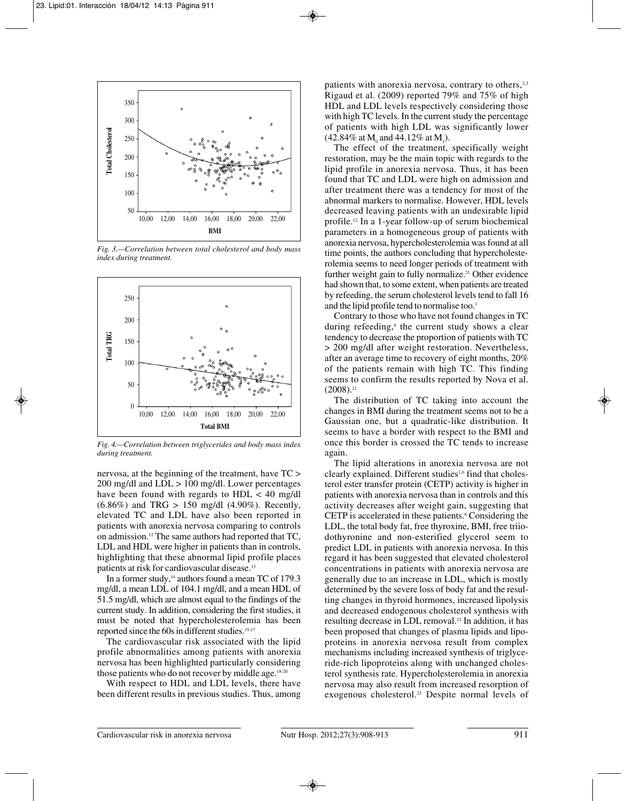

*Fig. 3.—Correlation between total cholesterol and body mass index during treatment.*



*Fig. 4.—Correlation between triglycerides and body mass index during treatment.*

nervosa, at the beginning of the treatment, have TC > 200 mg/dl and LDL > 100 mg/dl. Lower percentages have been found with regards to  $HDL < 40$  mg/dl  $(6.86\%)$  and TRG > 150 mg/dl  $(4.90\%)$ . Recently, elevated TC and LDL have also been reported in patients with anorexia nervosa comparing to controls on admission.12 The same authors had reported that TC, LDL and HDL were higher in patients than in controls, highlighting that these abnormal lipid profile places patients at risk for cardiovascular disease.13

In a former study,<sup>14</sup> authors found a mean TC of 179.3 mg/dl, a mean LDL of 104.1 mg/dl, and a mean HDL of 51.5 mg/dl, which are almost equal to the findings of the current study. In addition, considering the first studies, it must be noted that hypercholesterolemia has been reported since the 60s in different studies.15-17

The cardiovascular risk associated with the lipid profile abnormalities among patients with anorexia nervosa has been highlighted particularly considering those patients who do not recover by middle age.<sup>18-20</sup>

With respect to HDL and LDL levels, there have been different results in previous studies. Thus, among

patients with anorexia nervosa, contrary to others, $2,3$ Rigaud et al. (2009) reported 79% and 75% of high HDL and LDL levels respectively considering those with high TC levels. In the current study the percentage of patients with high LDL was significantly lower (42.84% at  $M_0$  and 44.12% at  $M_1$ ).

The effect of the treatment, specifically weight restoration, may be the main topic with regards to the lipid profile in anorexia nervosa. Thus, it has been found that TC and LDL were high on admission and after treatment there was a tendency for most of the abnormal markers to normalise. However, HDL levels decreased leaving patients with an undesirable lipid profile.12 In a 1-year follow-up of serum biochemical parameters in a homogeneous group of patients with anorexia nervosa, hypercholesterolemia was found at all time points, the authors concluding that hypercholesterolemia seems to need longer periods of treatment with further weight gain to fully normalize.<sup>21</sup> Other evidence had shown that, to some extent, when patients are treated by refeeding, the serum cholesterol levels tend to fall 16 and the lipid profile tend to normalise too.<sup>1</sup>

Contrary to those who have not found changes in TC during refeeding, $s$  the current study shows a clear tendency to decrease the proportion of patients with TC > 200 mg/dl after weight restoration. Nevertheless, after an average time to recovery of eight months, 20% of the patients remain with high TC. This finding seems to confirm the results reported by Nova et al.  $(2008).<sup>21</sup>$ 

The distribution of TC taking into account the changes in BMI during the treatment seems not to be a Gaussian one, but a quadratic-like distribution. It seems to have a border with respect to the BMI and once this border is crossed the TC tends to increase again.

The lipid alterations in anorexia nervosa are not clearly explained. Different studies<sup>1,6</sup> find that cholesterol ester transfer protein (CETP) activity is higher in patients with anorexia nervosa than in controls and this activity decreases after weight gain, suggesting that CETP is accelerated in these patients.<sup>6</sup> Considering the LDL, the total body fat, free thyroxine, BMI, free triiodothyronine and non-esterified glycerol seem to predict LDL in patients with anorexia nervosa. In this regard it has been suggested that elevated cholesterol concentrations in patients with anorexia nervosa are generally due to an increase in LDL, which is mostly determined by the severe loss of body fat and the resulting changes in thyroid hormones, increased lipolysis and decreased endogenous cholesterol synthesis with resulting decrease in LDL removal.22 In addition, it has been proposed that changes of plasma lipids and lipoproteins in anorexia nervosa result from complex mechanisms including increased synthesis of triglyceride-rich lipoproteins along with unchanged cholesterol synthesis rate. Hypercholesterolemia in anorexia nervosa may also result from increased resorption of exogenous cholesterol.23 Despite normal levels of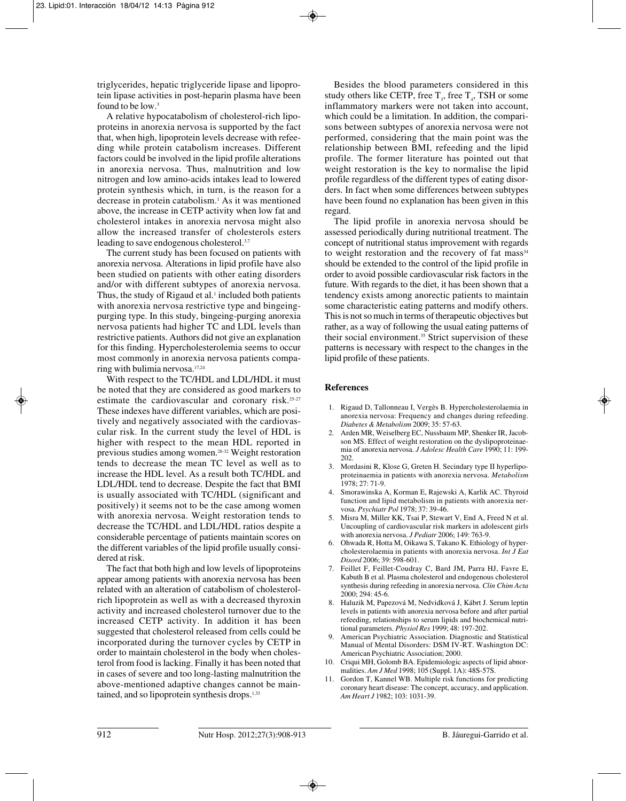triglycerides, hepatic triglyceride lipase and lipoprotein lipase activities in post-heparin plasma have been found to be low.<sup>3</sup>

A relative hypocatabolism of cholesterol-rich lipoproteins in anorexia nervosa is supported by the fact that, when high, lipoprotein levels decrease with refeeding while protein catabolism increases. Different factors could be involved in the lipid profile alterations in anorexia nervosa. Thus, malnutrition and low nitrogen and low amino-acids intakes lead to lowered protein synthesis which, in turn, is the reason for a decrease in protein catabolism.1 As it was mentioned above, the increase in CETP activity when low fat and cholesterol intakes in anorexia nervosa might also allow the increased transfer of cholesterols esters leading to save endogenous cholesterol.<sup>3,7</sup>

The current study has been focused on patients with anorexia nervosa. Alterations in lipid profile have also been studied on patients with other eating disorders and/or with different subtypes of anorexia nervosa. Thus, the study of Rigaud et al.<sup>1</sup> included both patients with anorexia nervosa restrictive type and bingeingpurging type. In this study, bingeing-purging anorexia nervosa patients had higher TC and LDL levels than restrictive patients. Authors did not give an explanation for this finding. Hypercholesterolemia seems to occur most commonly in anorexia nervosa patients comparing with bulimia nervosa.17,24

With respect to the TC/HDL and LDL/HDL it must be noted that they are considered as good markers to estimate the cardiovascular and coronary risk.25-27 These indexes have different variables, which are positively and negatively associated with the cardiovascular risk. In the current study the level of HDL is higher with respect to the mean HDL reported in previous studies among women.28-32 Weight restoration tends to decrease the mean TC level as well as to increase the HDL level. As a result both TC/HDL and LDL/HDL tend to decrease. Despite the fact that BMI is usually associated with TC/HDL (significant and positively) it seems not to be the case among women with anorexia nervosa. Weight restoration tends to decrease the TC/HDL and LDL/HDL ratios despite a considerable percentage of patients maintain scores on the different variables of the lipid profile usually considered at risk.

The fact that both high and low levels of lipoproteins appear among patients with anorexia nervosa has been related with an alteration of catabolism of cholesterolrich lipoprotein as well as with a decreased thyroxin activity and increased cholesterol turnover due to the increased CETP activity. In addition it has been suggested that cholesterol released from cells could be incorporated during the turnover cycles by CETP in order to maintain cholesterol in the body when cholesterol from food is lacking. Finally it has been noted that in cases of severe and too long-lasting malnutrition the above-mentioned adaptive changes cannot be maintained, and so lipoprotein synthesis drops.<sup>1,33</sup>

Besides the blood parameters considered in this study others like CETP, free  $T_{3}$ , free  $T_{4}$ , TSH or some inflammatory markers were not taken into account, which could be a limitation. In addition, the comparisons between subtypes of anorexia nervosa were not performed, considering that the main point was the relationship between BMI, refeeding and the lipid profile. The former literature has pointed out that weight restoration is the key to normalise the lipid profile regardless of the different types of eating disorders. In fact when some differences between subtypes have been found no explanation has been given in this regard.

The lipid profile in anorexia nervosa should be assessed periodically during nutritional treatment. The concept of nutritional status improvement with regards to weight restoration and the recovery of fat mass $34$ should be extended to the control of the lipid profile in order to avoid possible cardiovascular risk factors in the future. With regards to the diet, it has been shown that a tendency exists among anorectic patients to maintain some characteristic eating patterns and modify others. This is not so much in terms of therapeutic objectives but rather, as a way of following the usual eating patterns of their social environment.35 Strict supervision of these patterns is necessary with respect to the changes in the lipid profile of these patients.

## **References**

- 1. Rigaud D, Tallonneau I, Vergès B. Hypercholesterolaemia in anorexia nervosa: Frequency and changes during refeeding. *Diabetes & Metabolism* 2009; 35: 57-63.
- 2. Arden MR, Weiselberg EC, Nussbaum MP, Shenker IR, Jacobson MS. Effect of weight restoration on the dyslipoproteinaemia of anorexia nervosa. *J Adolesc Health Care* 1990; 11: 199- 202.
- 3. Mordasini R, Klose G, Greten H. Secindary type II hyperlipoproteinaemia in patients with anorexia nervosa. *Metabolism* 1978; 27: 71-9.
- 4. Smorawinska A, Korman E, Rajewski A, Karlik AC. Thyroid function and lipid metabolism in patients with anorexia nervosa. *Psychiatr Pol* 1978; 37: 39-46.
- 5. Misra M, Miller KK, Tsai P, Stewart V, End A, Freed N et al. Uncoupling of cardiovascular risk markers in adolescent girls with anorexia nervosa. *J Pediatr* 2006; 149: 763-9.
- 6. Ohwada R, Hotta M, Oikawa S, Takano K. Ethiology of hypercholesterolaemia in patients with anorexia nervosa. *Int J Eat Disord* 2006; 39: 598-601.
- 7. Feillet F, Feillet-Coudray C, Bard JM, Parra HJ, Favre E, Kabuth B et al. Plasma cholesterol and endogenous cholesterol synthesis during refeeding in anorexia nervosa. *Clin Chim Acta* 2000; 294: 45-6.
- 8. Haluzik M, Papezová M, Nedvidková J, Kábrt J. Serum leptin levels in patients with anorexia nervosa before and after partial refeeding, relationships to serum lipids and biochemical nutritional parameters. *Physiol Res* 1999; 48: 197-202.
- 9. American Psychiatric Association. Diagnostic and Statistical Manual of Mental Disorders: DSM IV-RT. Washington DC: American Psychiatric Association; 2000.
- 10. Criqui MH, Golomb BA. Epidemiologic aspects of lipid abnormalities. *Am J Med* 1998; 105 (Suppl. 1A): 48S-57S.
- 11. Gordon T, Kannel WB. Multiple risk functions for predicting coronary heart disease: The concept, accuracy, and application. *Am Heart J* 1982; 103: 1031-39.